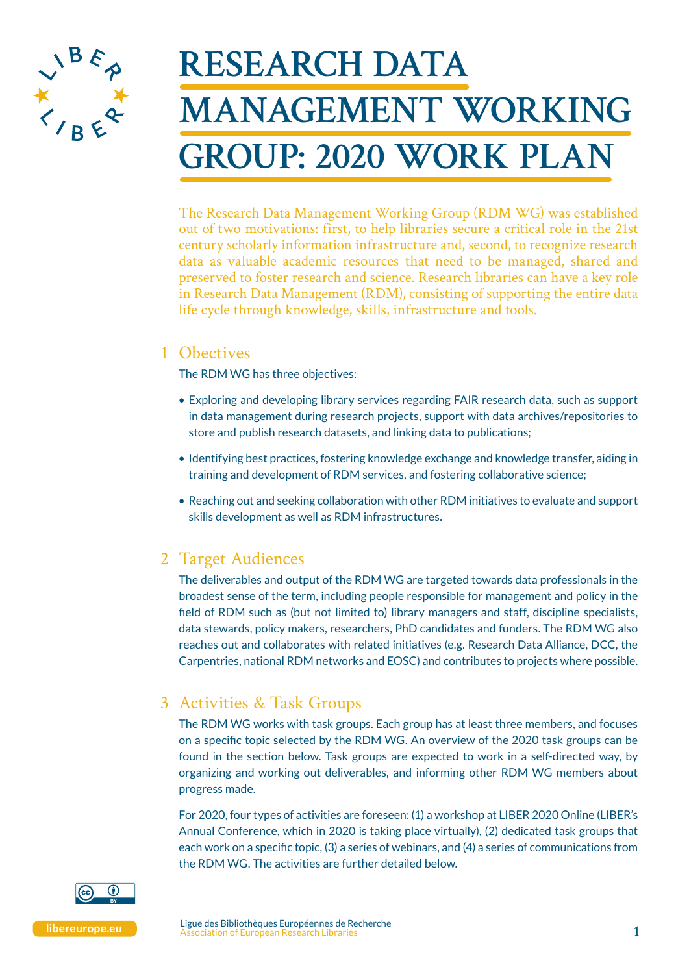

# **RESEARCH DATA MANAGEMENT WORKING GROUP: 2020 WORK PLAN**

The Research Data Management Working Group (RDM WG) was established out of two motivations: first, to help libraries secure a critical role in the 21st century scholarly information infrastructure and, second, to recognize research data as valuable academic resources that need to be managed, shared and preserved to foster research and science. Research libraries can have a key role in Research Data Management (RDM), consisting of supporting the entire data life cycle through knowledge, skills, infrastructure and tools.

### 1 Obectives

The RDM WG has three objectives:

- Exploring and developing library services regarding FAIR research data, such as support in data management during research projects, support with data archives/repositories to store and publish research datasets, and linking data to publications;
- Identifying best practices, fostering knowledge exchange and knowledge transfer, aiding in training and development of RDM services, and fostering collaborative science;
- Reaching out and seeking collaboration with other RDM initiatives to evaluate and support skills development as well as RDM infrastructures.

## 2 Target Audiences

The deliverables and output of the RDM WG are targeted towards data professionals in the broadest sense of the term, including people responsible for management and policy in the field of RDM such as (but not limited to) library managers and staff, discipline specialists, data stewards, policy makers, researchers, PhD candidates and funders. The RDM WG also reaches out and collaborates with related initiatives (e.g. Research Data Alliance, DCC, the Carpentries, national RDM networks and EOSC) and contributes to projects where possible.

## 3 Activities & Task Groups

The RDM WG works with task groups. Each group has at least three members, and focuses on a specific topic selected by the RDM WG. An overview of the 2020 task groups can be found in the section below. Task groups are expected to work in a self-directed way, by organizing and working out deliverables, and informing other RDM WG members about progress made.

For 2020, four types of activities are foreseen: (1) a workshop at LIBER 2020 Online (LIBER's Annual Conference, which in 2020 is taking place virtually), (2) dedicated task groups that each work on a specific topic, (3) a series of webinars, and (4) a series of communications from the RDM WG. The activities are further detailed below.

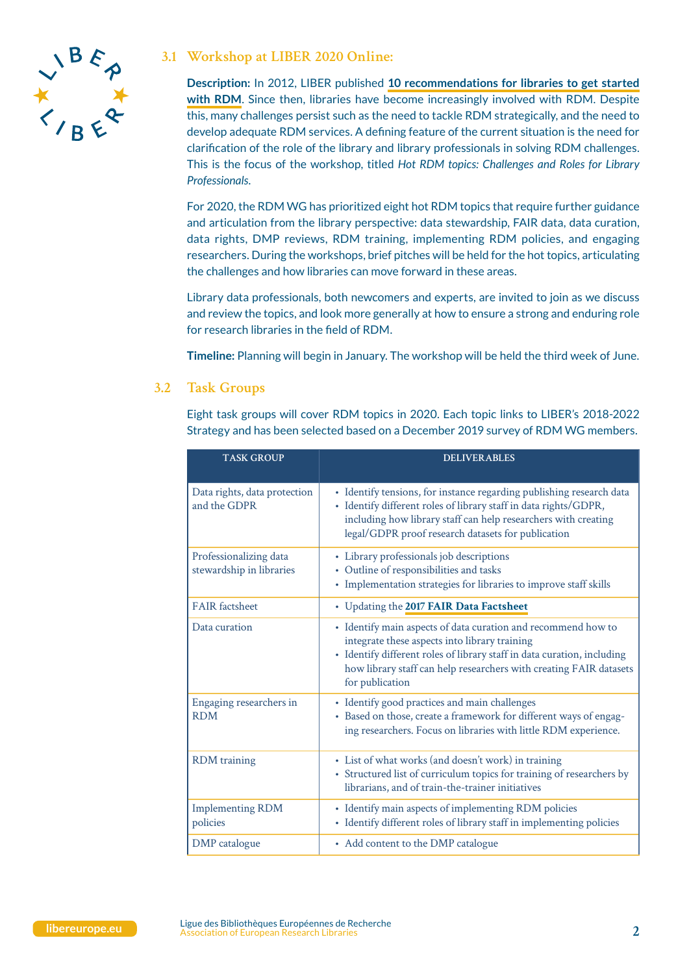

#### **3.1 Workshop at LIBER 2020 Online:**

**Description:** In 2012, LIBER published **[10 recommendations for libraries to get started](https://libereurope.eu/wp-content/uploads/The%20research%20data%20group%202012%20v7%20final.pdf)  [with RDM](https://libereurope.eu/wp-content/uploads/The%20research%20data%20group%202012%20v7%20final.pdf)**. Since then, libraries have become increasingly involved with RDM. Despite this, many challenges persist such as the need to tackle RDM strategically, and the need to develop adequate RDM services. A defining feature of the current situation is the need for clarification of the role of the library and library professionals in solving RDM challenges. This is the focus of the workshop, titled *Hot RDM topics: Challenges and Roles for Library Professionals*.

For 2020, the RDM WG has prioritized eight hot RDM topics that require further guidance and articulation from the library perspective: data stewardship, FAIR data, data curation, data rights, DMP reviews, RDM training, implementing RDM policies, and engaging researchers. During the workshops, brief pitches will be held for the hot topics, articulating the challenges and how libraries can move forward in these areas.

Library data professionals, both newcomers and experts, are invited to join as we discuss and review the topics, and look more generally at how to ensure a strong and enduring role for research libraries in the field of RDM.

**Timeline:** Planning will begin in January. The workshop will be held the third week of June.

#### **3.2 Task Groups**

Eight task groups will cover RDM topics in 2020. Each topic links to LIBER's 2018-2022 Strategy and has been selected based on a December 2019 survey of RDM WG members.

| <b>TASK GROUP</b>                                  | <b>DELIVERABLES</b>                                                                                                                                                                                                                                                                |
|----------------------------------------------------|------------------------------------------------------------------------------------------------------------------------------------------------------------------------------------------------------------------------------------------------------------------------------------|
| Data rights, data protection<br>and the GDPR       | • Identify tensions, for instance regarding publishing research data<br>· Identify different roles of library staff in data rights/GDPR,<br>including how library staff can help researchers with creating<br>legal/GDPR proof research datasets for publication                   |
| Professionalizing data<br>stewardship in libraries | • Library professionals job descriptions<br>• Outline of responsibilities and tasks<br>• Implementation strategies for libraries to improve staff skills                                                                                                                           |
| <b>FAIR</b> factsheet                              | • Updating the 2017 FAIR Data Factsheet                                                                                                                                                                                                                                            |
| Data curation                                      | • Identify main aspects of data curation and recommend how to<br>integrate these aspects into library training<br>• Identify different roles of library staff in data curation, including<br>how library staff can help researchers with creating FAIR datasets<br>for publication |
| Engaging researchers in<br><b>RDM</b>              | · Identify good practices and main challenges<br>· Based on those, create a framework for different ways of engag-<br>ing researchers. Focus on libraries with little RDM experience.                                                                                              |
| <b>RDM</b> training                                | • List of what works (and doesn't work) in training<br>• Structured list of curriculum topics for training of researchers by<br>librarians, and of train-the-trainer initiatives                                                                                                   |
| <b>Implementing RDM</b><br>policies                | • Identify main aspects of implementing RDM policies<br>• Identify different roles of library staff in implementing policies                                                                                                                                                       |
| DMP catalogue                                      | • Add content to the DMP catalogue                                                                                                                                                                                                                                                 |